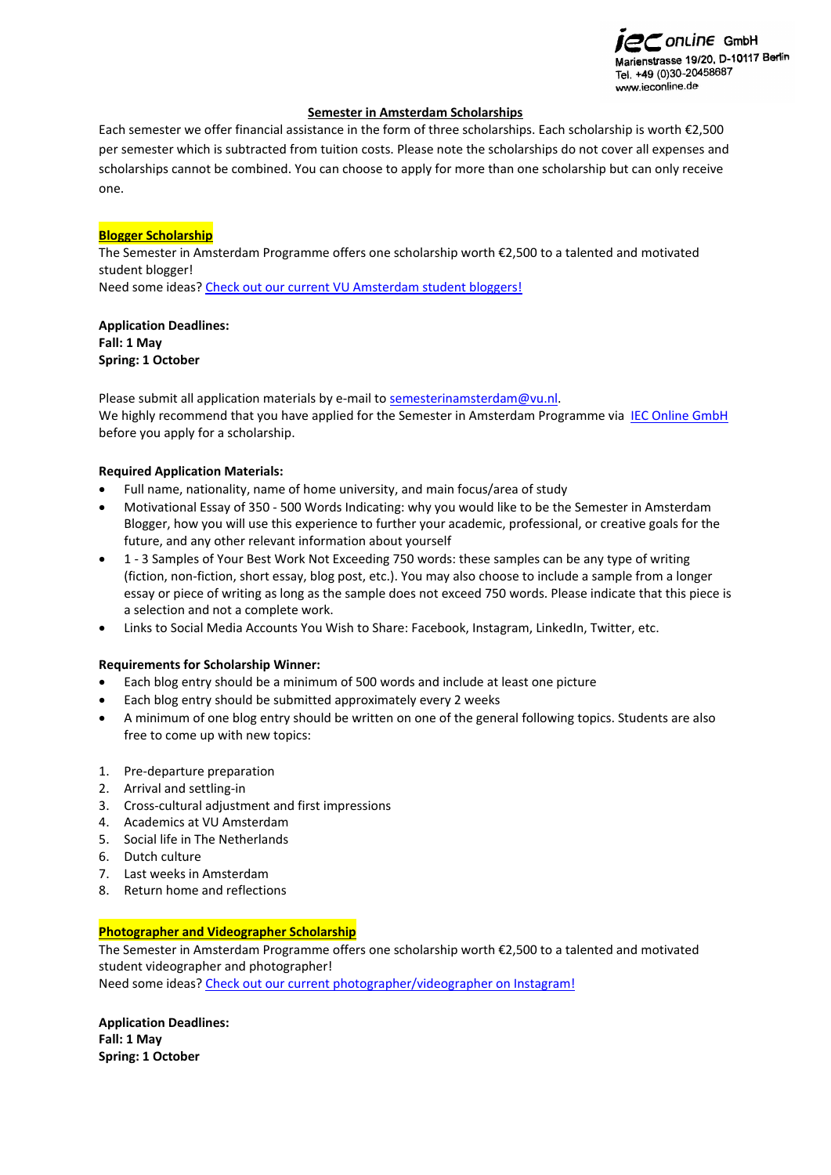

## **Semester in Amsterdam Scholarships**

Each semester we offer financial assistance in the form of three scholarships. Each scholarship is worth €2,500 per semester which is subtracted from tuition costs. Please note the scholarships do not cover all expenses and scholarships cannot be combined. You can choose to apply for more than one scholarship but can only receive one.

## **Blogger Scholarship**

The Semester in Amsterdam Programme offers one scholarship worth €2,500 to a talented and motivated student blogger! Need some ideas[? Check out our current VU Amsterdam student bloggers!](https://www.amsterdamstudents.com/)

**Application Deadlines: Fall: 1 May Spring: 1 October**

Please submit all application materials by e-mail to [semesterinamsterdam@vu.nl.](mailto:semesterinamsterdam@vu.nl) We highly recommend that you have applied for the Semester in Amsterdam Programme via [IEC Online GmbH](https://www.ieconline.de/studieren-im-ausland/universitaeten/bewerbung/holland/vrije-universiteit-amsterdam.html) before you apply for a scholarship.

### **Required Application Materials:**

- Full name, nationality, name of home university, and main focus/area of study
- Motivational Essay of 350 500 Words Indicating: why you would like to be the Semester in Amsterdam Blogger, how you will use this experience to further your academic, professional, or creative goals for the future, and any other relevant information about yourself
- 1 3 Samples of Your Best Work Not Exceeding 750 words: these samples can be any type of writing (fiction, non-fiction, short essay, blog post, etc.). You may also choose to include a sample from a longer essay or piece of writing as long as the sample does not exceed 750 words. Please indicate that this piece is a selection and not a complete work.
- Links to Social Media Accounts You Wish to Share: Facebook, Instagram, LinkedIn, Twitter, etc.

### **Requirements for Scholarship Winner:**

- Each blog entry should be a minimum of 500 words and include at least one picture
- Each blog entry should be submitted approximately every 2 weeks
- A minimum of one blog entry should be written on one of the general following topics. Students are also free to come up with new topics:
- 1. Pre-departure preparation
- 2. Arrival and settling-in
- 3. Cross-cultural adjustment and first impressions
- 4. Academics at VU Amsterdam
- 5. Social life in The Netherlands
- 6. Dutch culture
- 7. Last weeks in Amsterdam
- 8. Return home and reflections

### **Photographer and Videographer Scholarship**

The Semester in Amsterdam Programme offers one scholarship worth €2,500 to a talented and motivated student videographer and photographer! Need some ideas[? Check out our current photographer/videographer on Instagram!](https://www.instagram.com/vusemesterinamsterdam/)

**Application Deadlines: Fall: 1 May Spring: 1 October**